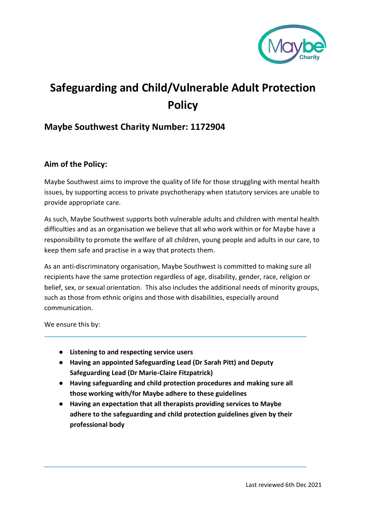

# **Safeguarding and Child/Vulnerable Adult Protection Policy**

## **Maybe Southwest Charity Number: 1172904**

#### **Aim of the Policy:**

Maybe Southwest aims to improve the quality of life for those struggling with mental health issues, by supporting access to private psychotherapy when statutory services are unable to provide appropriate care.

As such, Maybe Southwest supports both vulnerable adults and children with mental health difficulties and as an organisation we believe that all who work within or for Maybe have a responsibility to promote the welfare of all children, young people and adults in our care, to keep them safe and practise in a way that protects them.

As an anti-discriminatory organisation, Maybe Southwest is committed to making sure all recipients have the same protection regardless of age, disability, gender, race, religion or belief, sex, or sexual orientation. This also includes the additional needs of minority groups, such as those from ethnic origins and those with disabilities, especially around communication.

We ensure this by:

- **Listening to and respecting service users**
- **Having an appointed Safeguarding Lead (Dr Sarah Pitt) and Deputy Safeguarding Lead (Dr Marie-Claire Fitzpatrick)**
- **Having safeguarding and child protection procedures and making sure all those working with/for Maybe adhere to these guidelines**
- **Having an expectation that all therapists providing services to Maybe adhere to the safeguarding and child protection guidelines given by their professional body**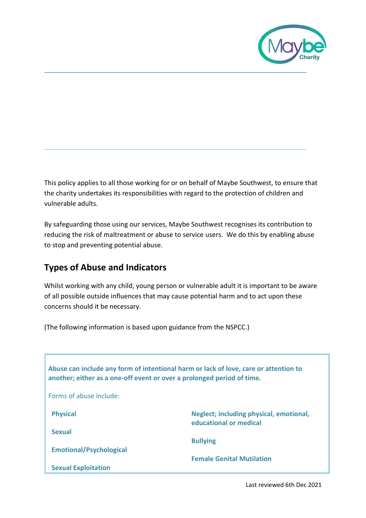

This policy applies to all those working for or on behalf of Maybe Southwest, to ensure that the charity undertakes its responsibilities with regard to the protection of children and vulnerable adults.

By safeguarding those using our services, Maybe Southwest recognises its contribution to reducing the risk of maltreatment or abuse to service users. We do this by enabling abuse to stop and preventing potential abuse.

# **Types of Abuse and Indicators**

Whilst working with any child, young person or vulnerable adult it is important to be aware of all possible outside influences that may cause potential harm and to act upon these concerns should it be necessary.

(The following information is based upon guidance from the NSPCC.)

| Abuse can include any form of intentional harm or lack of love, care or attention to<br>another; either as a one-off event or over a prolonged period of time. |                                                                   |
|----------------------------------------------------------------------------------------------------------------------------------------------------------------|-------------------------------------------------------------------|
| Forms of abuse include:                                                                                                                                        |                                                                   |
| <b>Physical</b>                                                                                                                                                | Neglect; including physical, emotional,<br>educational or medical |
| <b>Sexual</b>                                                                                                                                                  |                                                                   |
| <b>Emotional/Psychological</b>                                                                                                                                 | <b>Bullying</b>                                                   |
| <b>Sexual Exploitation</b>                                                                                                                                     | <b>Female Genital Mutilation</b>                                  |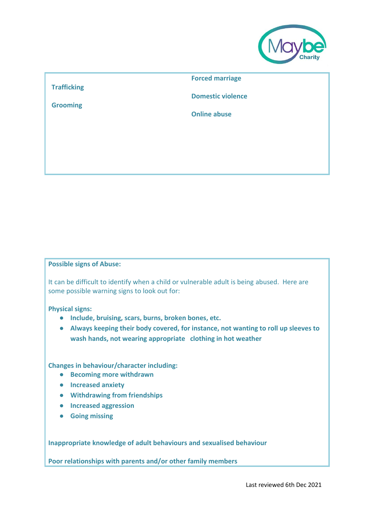

#### **Trafficking**

**Grooming**

**Forced marriage**

**Domestic violence**

**Online abuse**

#### **Possible signs of Abuse:**

It can be difficult to identify when a child or vulnerable adult is being abused. Here are some possible warning signs to look out for:

#### **Physical signs:**

- **Include, bruising, scars, burns, broken bones, etc.**
- **Always keeping their body covered, for instance, not wanting to roll up sleeves to wash hands, not wearing appropriate clothing in hot weather**

#### **Changes in behaviour/character including:**

- **Becoming more withdrawn**
- **Increased anxiety**
- **Withdrawing from friendships**
- **Increased aggression**
- **Going missing**

**Inappropriate knowledge of adult behaviours and sexualised behaviour**

**Poor relationships with parents and/or other family members**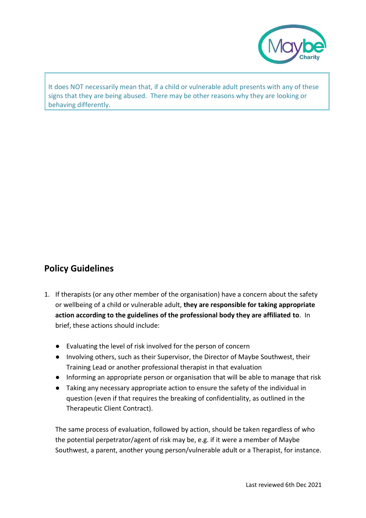

It does NOT necessarily mean that, if a child or vulnerable adult presents with any of these signs that they are being abused. There may be other reasons why they are looking or behaving differently.

# **Policy Guidelines**

- 1. If therapists (or any other member of the organisation) have a concern about the safety or wellbeing of a child or vulnerable adult, **they are responsible for taking appropriate action according to the guidelines of the professional body they are affiliated to**. In brief, these actions should include:
	- Evaluating the level of risk involved for the person of concern
	- Involving others, such as their Supervisor, the Director of Maybe Southwest, their Training Lead or another professional therapist in that evaluation
	- Informing an appropriate person or organisation that will be able to manage that risk
	- Taking any necessary appropriate action to ensure the safety of the individual in question (even if that requires the breaking of confidentiality, as outlined in the Therapeutic Client Contract).

The same process of evaluation, followed by action, should be taken regardless of who the potential perpetrator/agent of risk may be, e.g. if it were a member of Maybe Southwest, a parent, another young person/vulnerable adult or a Therapist, for instance.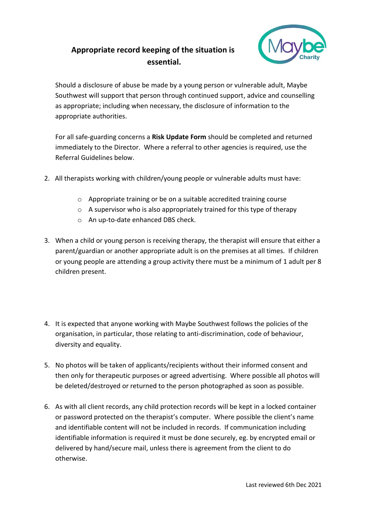# **Appropriate record keeping of the situation is essential.**



Should a disclosure of abuse be made by a young person or vulnerable adult, Maybe Southwest will support that person through continued support, advice and counselling as appropriate; including when necessary, the disclosure of information to the appropriate authorities.

For all safe-guarding concerns a **Risk Update Form** should be completed and returned immediately to the Director. Where a referral to other agencies is required, use the Referral Guidelines below.

- 2. All therapists working with children/young people or vulnerable adults must have:
	- o Appropriate training or be on a suitable accredited training course
	- o A supervisor who is also appropriately trained for this type of therapy
	- o An up-to-date enhanced DBS check.
- 3. When a child or young person is receiving therapy, the therapist will ensure that either a parent/guardian or another appropriate adult is on the premises at all times. If children or young people are attending a group activity there must be a minimum of 1 adult per 8 children present.
- 4. It is expected that anyone working with Maybe Southwest follows the policies of the organisation, in particular, those relating to anti-discrimination, code of behaviour, diversity and equality.
- 5. No photos will be taken of applicants/recipients without their informed consent and then only for therapeutic purposes or agreed advertising. Where possible all photos will be deleted/destroyed or returned to the person photographed as soon as possible.
- 6. As with all client records, any child protection records will be kept in a locked container or password protected on the therapist's computer. Where possible the client's name and identifiable content will not be included in records. If communication including identifiable information is required it must be done securely, eg. by encrypted email or delivered by hand/secure mail, unless there is agreement from the client to do otherwise.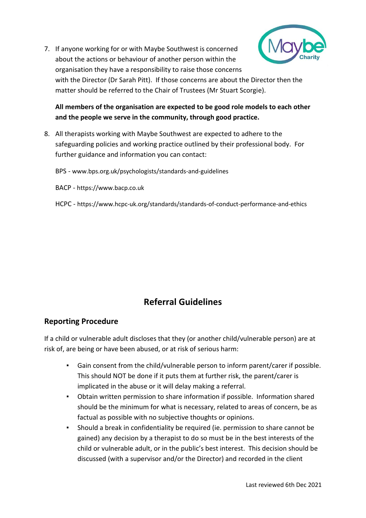7. If anyone working for or with Maybe Southwest is concerned about the actions or behaviour of another person within the organisation they have a responsibility to raise those concerns



with the Director (Dr Sarah Pitt). If those concerns are about the Director then the matter should be referred to the Chair of Trustees (Mr Stuart Scorgie).

**All members of the organisation are expected to be good role models to each other and the people we serve in the community, through good practice.**

8. All therapists working with Maybe Southwest are expected to adhere to the safeguarding policies and working practice outlined by their professional body. For further guidance and information you can contact:

BPS - www.bps.org.uk/psychologists/standards-and-guidelines

BACP - https://www.bacp.co.uk

HCPC - https://www.hcpc-uk.org/standards/standards-of-conduct-performance-and-ethics

# **Referral Guidelines**

### **Reporting Procedure**

If a child or vulnerable adult discloses that they (or another child/vulnerable person) are at risk of, are being or have been abused, or at risk of serious harm:

- Gain consent from the child/vulnerable person to inform parent/carer if possible. This should NOT be done if it puts them at further risk, the parent/carer is implicated in the abuse or it will delay making a referral.
- Obtain written permission to share information if possible. Information shared should be the minimum for what is necessary, related to areas of concern, be as factual as possible with no subjective thoughts or opinions.
- Should a break in confidentiality be required (ie. permission to share cannot be gained) any decision by a therapist to do so must be in the best interests of the child or vulnerable adult, or in the public's best interest. This decision should be discussed (with a supervisor and/or the Director) and recorded in the client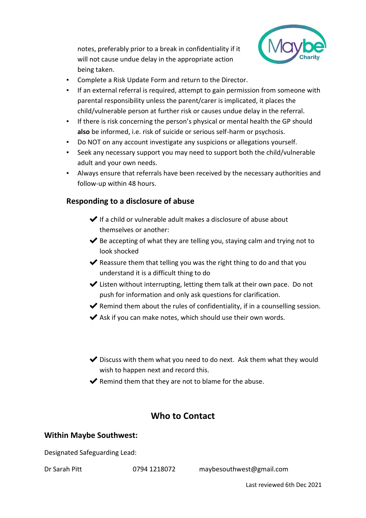notes, preferably prior to a break in confidentiality if it will not cause undue delay in the appropriate action being taken.



- Complete a Risk Update Form and return to the Director.
- If an external referral is required, attempt to gain permission from someone with parental responsibility unless the parent/carer is implicated, it places the child/vulnerable person at further risk or causes undue delay in the referral.
- If there is risk concerning the person's physical or mental health the GP should **also** be informed, i.e. risk of suicide or serious self-harm or psychosis.
- Do NOT on any account investigate any suspicions or allegations yourself.
- Seek any necessary support you may need to support both the child/vulnerable adult and your own needs.
- Always ensure that referrals have been received by the necessary authorities and follow-up within 48 hours.

#### **Responding to a disclosure of abuse**

- $\blacktriangleright$  If a child or vulnerable adult makes a disclosure of abuse about themselves or another:
- $\blacktriangleright$  Be accepting of what they are telling you, staying calm and trying not to look shocked
- $\blacktriangleright$  Reassure them that telling you was the right thing to do and that you understand it is a difficult thing to do
- $\blacktriangleright$  Listen without interrupting, letting them talk at their own pace. Do not push for information and only ask questions for clarification.
- $\blacktriangleright$  Remind them about the rules of confidentiality, if in a counselling session.
- $\blacktriangleright$  Ask if you can make notes, which should use their own words.
- $\blacktriangleright$  Discuss with them what you need to do next. Ask them what they would wish to happen next and record this.
- $\blacktriangleright$  Remind them that they are not to blame for the abuse.

## **Who to Contact**

#### **Within Maybe Southwest:**

Designated Safeguarding Lead:

Dr Sarah Pitt 0794 1218072 maybesouthwest@gmail.com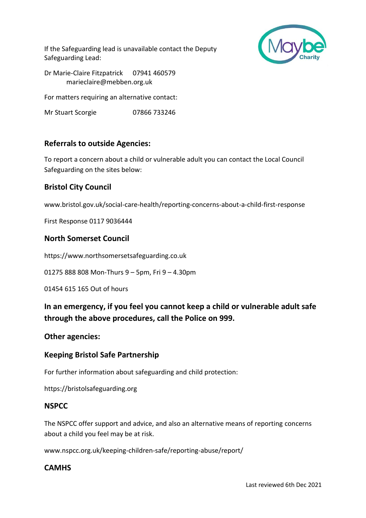If the Safeguarding lead is unavailable contact the Deputy Safeguarding Lead:



Dr Marie-Claire Fitzpatrick 07941 460579 marieclaire@mebben.org.uk

For matters requiring an alternative contact:

Mr Stuart Scorgie 07866 733246

### **Referrals to outside Agencies:**

To report a concern about a child or vulnerable adult you can contact the Local Council Safeguarding on the sites below:

## **Bristol City Council**

www.bristol.gov.uk/social-care-health/reporting-concerns-about-a-child-first-response

First Response 0117 9036444

### **North Somerset Council**

https://www.northsomersetsafeguarding.co.uk

01275 888 808 Mon-Thurs 9 – 5pm, Fri 9 – 4.30pm

01454 615 165 Out of hours

**In an emergency, if you feel you cannot keep a child or vulnerable adult safe through the above procedures, call the Police on 999.**

#### **Other agencies:**

### **Keeping Bristol Safe Partnership**

For further information about safeguarding and child protection:

https://bristolsafeguarding.org

#### **NSPCC**

The NSPCC offer support and advice, and also an alternative means of reporting concerns about a child you feel may be at risk.

www.nspcc.org.uk/keeping-children-safe/reporting-abuse/report/

#### **CAMHS**